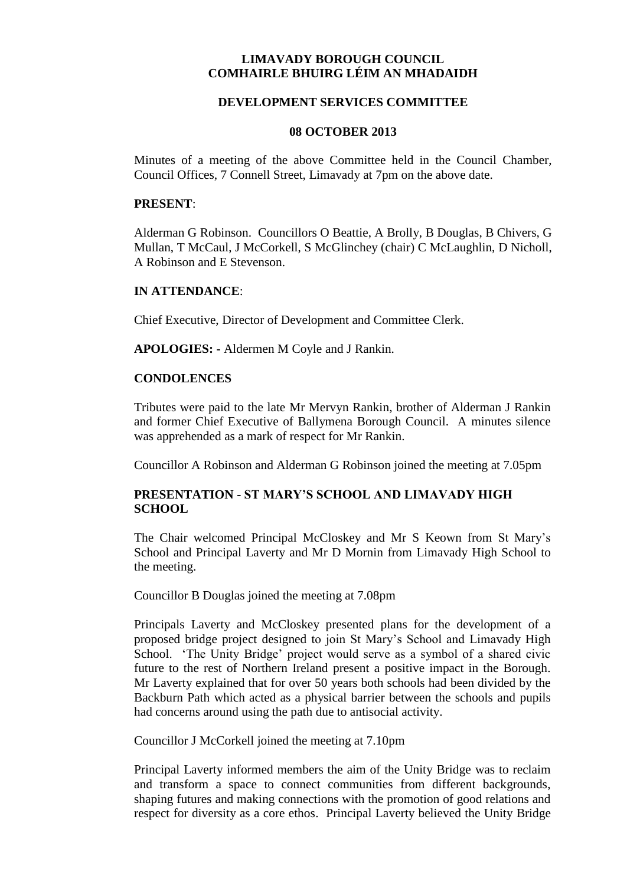# **LIMAVADY BOROUGH COUNCIL COMHAIRLE BHUIRG LÉIM AN MHADAIDH**

## **DEVELOPMENT SERVICES COMMITTEE**

#### **08 OCTOBER 2013**

Minutes of a meeting of the above Committee held in the Council Chamber, Council Offices, 7 Connell Street, Limavady at 7pm on the above date.

#### **PRESENT**:

Alderman G Robinson. Councillors O Beattie, A Brolly, B Douglas, B Chivers, G Mullan, T McCaul, J McCorkell, S McGlinchey (chair) C McLaughlin, D Nicholl, A Robinson and E Stevenson.

#### **IN ATTENDANCE**:

Chief Executive, Director of Development and Committee Clerk.

**APOLOGIES: -** Aldermen M Coyle and J Rankin.

### **CONDOLENCES**

Tributes were paid to the late Mr Mervyn Rankin, brother of Alderman J Rankin and former Chief Executive of Ballymena Borough Council. A minutes silence was apprehended as a mark of respect for Mr Rankin.

Councillor A Robinson and Alderman G Robinson joined the meeting at 7.05pm

## **PRESENTATION - ST MARY'S SCHOOL AND LIMAVADY HIGH SCHOOL**

The Chair welcomed Principal McCloskey and Mr S Keown from St Mary's School and Principal Laverty and Mr D Mornin from Limavady High School to the meeting.

Councillor B Douglas joined the meeting at 7.08pm

Principals Laverty and McCloskey presented plans for the development of a proposed bridge project designed to join St Mary's School and Limavady High School. 'The Unity Bridge' project would serve as a symbol of a shared civic future to the rest of Northern Ireland present a positive impact in the Borough. Mr Laverty explained that for over 50 years both schools had been divided by the Backburn Path which acted as a physical barrier between the schools and pupils had concerns around using the path due to antisocial activity.

Councillor J McCorkell joined the meeting at 7.10pm

Principal Laverty informed members the aim of the Unity Bridge was to reclaim and transform a space to connect communities from different backgrounds, shaping futures and making connections with the promotion of good relations and respect for diversity as a core ethos. Principal Laverty believed the Unity Bridge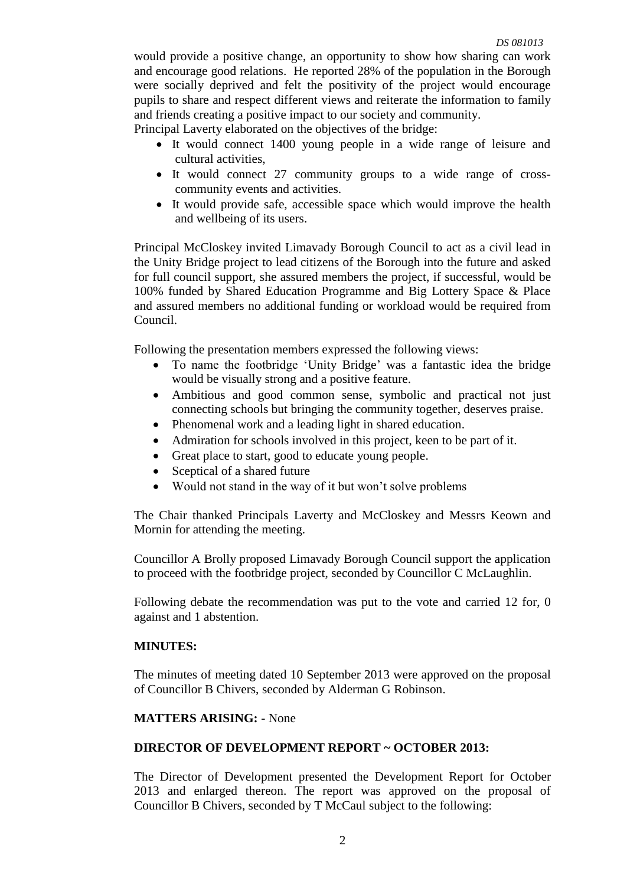would provide a positive change, an opportunity to show how sharing can work and encourage good relations. He reported 28% of the population in the Borough were socially deprived and felt the positivity of the project would encourage pupils to share and respect different views and reiterate the information to family and friends creating a positive impact to our society and community.

Principal Laverty elaborated on the objectives of the bridge:

- It would connect 1400 young people in a wide range of leisure and cultural activities,
- It would connect 27 community groups to a wide range of crosscommunity events and activities.
- It would provide safe, accessible space which would improve the health and wellbeing of its users.

Principal McCloskey invited Limavady Borough Council to act as a civil lead in the Unity Bridge project to lead citizens of the Borough into the future and asked for full council support, she assured members the project, if successful, would be 100% funded by Shared Education Programme and Big Lottery Space & Place and assured members no additional funding or workload would be required from Council.

Following the presentation members expressed the following views:

- To name the footbridge 'Unity Bridge' was a fantastic idea the bridge would be visually strong and a positive feature.
- Ambitious and good common sense, symbolic and practical not just connecting schools but bringing the community together, deserves praise.
- Phenomenal work and a leading light in shared education.
- Admiration for schools involved in this project, keen to be part of it.
- Great place to start, good to educate young people.
- Sceptical of a shared future
- Would not stand in the way of it but won't solve problems

The Chair thanked Principals Laverty and McCloskey and Messrs Keown and Mornin for attending the meeting.

Councillor A Brolly proposed Limavady Borough Council support the application to proceed with the footbridge project, seconded by Councillor C McLaughlin.

Following debate the recommendation was put to the vote and carried 12 for, 0 against and 1 abstention.

## **MINUTES:**

The minutes of meeting dated 10 September 2013 were approved on the proposal of Councillor B Chivers, seconded by Alderman G Robinson.

## **MATTERS ARISING: -** None

## **DIRECTOR OF DEVELOPMENT REPORT ~ OCTOBER 2013:**

The Director of Development presented the Development Report for October 2013 and enlarged thereon. The report was approved on the proposal of Councillor B Chivers, seconded by T McCaul subject to the following: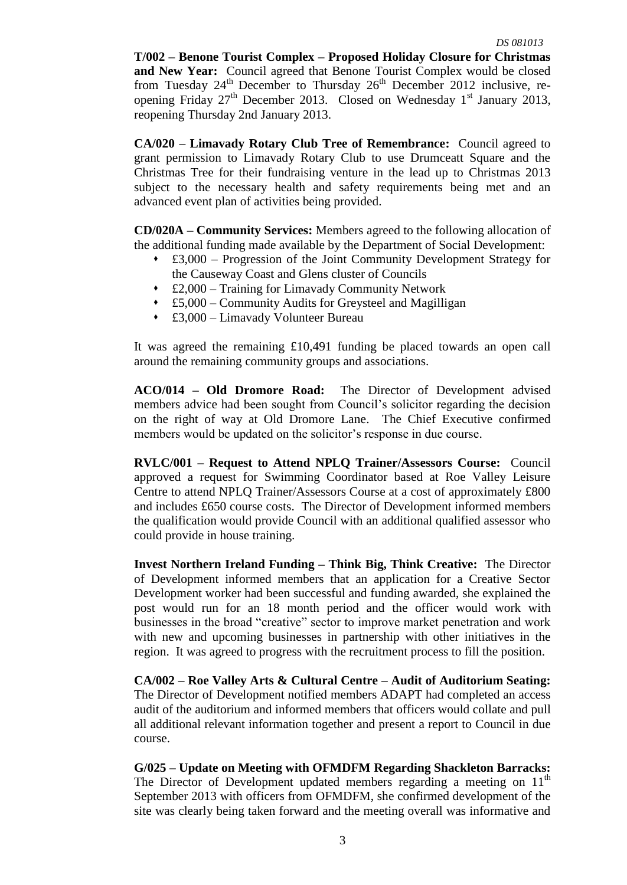**T/002 – Benone Tourist Complex – Proposed Holiday Closure for Christmas and New Year:** Council agreed that Benone Tourist Complex would be closed from Tuesday  $24<sup>th</sup>$  December to Thursday  $26<sup>th</sup>$  December 2012 inclusive, reopening Friday  $27<sup>th</sup>$  December 2013. Closed on Wednesday 1<sup>st</sup> January 2013, reopening Thursday 2nd January 2013.

**CA/020 – Limavady Rotary Club Tree of Remembrance:** Council agreed to grant permission to Limavady Rotary Club to use Drumceatt Square and the Christmas Tree for their fundraising venture in the lead up to Christmas 2013 subject to the necessary health and safety requirements being met and an advanced event plan of activities being provided.

**CD/020A – Community Services:** Members agreed to the following allocation of the additional funding made available by the Department of Social Development:

- £3,000 Progression of the Joint Community Development Strategy for the Causeway Coast and Glens cluster of Councils
- £2,000 Training for Limavady Community Network
- £5,000 Community Audits for Greysteel and Magilligan
- £3,000 Limavady Volunteer Bureau

It was agreed the remaining £10,491 funding be placed towards an open call around the remaining community groups and associations.

**ACO/014 – Old Dromore Road:** The Director of Development advised members advice had been sought from Council's solicitor regarding the decision on the right of way at Old Dromore Lane. The Chief Executive confirmed members would be updated on the solicitor's response in due course.

**RVLC/001 – Request to Attend NPLQ Trainer/Assessors Course:** Council approved a request for Swimming Coordinator based at Roe Valley Leisure Centre to attend NPLQ Trainer/Assessors Course at a cost of approximately £800 and includes £650 course costs. The Director of Development informed members the qualification would provide Council with an additional qualified assessor who could provide in house training.

**Invest Northern Ireland Funding – Think Big, Think Creative:** The Director of Development informed members that an application for a Creative Sector Development worker had been successful and funding awarded, she explained the post would run for an 18 month period and the officer would work with businesses in the broad "creative" sector to improve market penetration and work with new and upcoming businesses in partnership with other initiatives in the region. It was agreed to progress with the recruitment process to fill the position.

**CA/002 – Roe Valley Arts & Cultural Centre – Audit of Auditorium Seating:**  The Director of Development notified members ADAPT had completed an access audit of the auditorium and informed members that officers would collate and pull all additional relevant information together and present a report to Council in due course.

**G/025 – Update on Meeting with OFMDFM Regarding Shackleton Barracks:**  The Director of Development updated members regarding a meeting on 11<sup>th</sup> September 2013 with officers from OFMDFM, she confirmed development of the site was clearly being taken forward and the meeting overall was informative and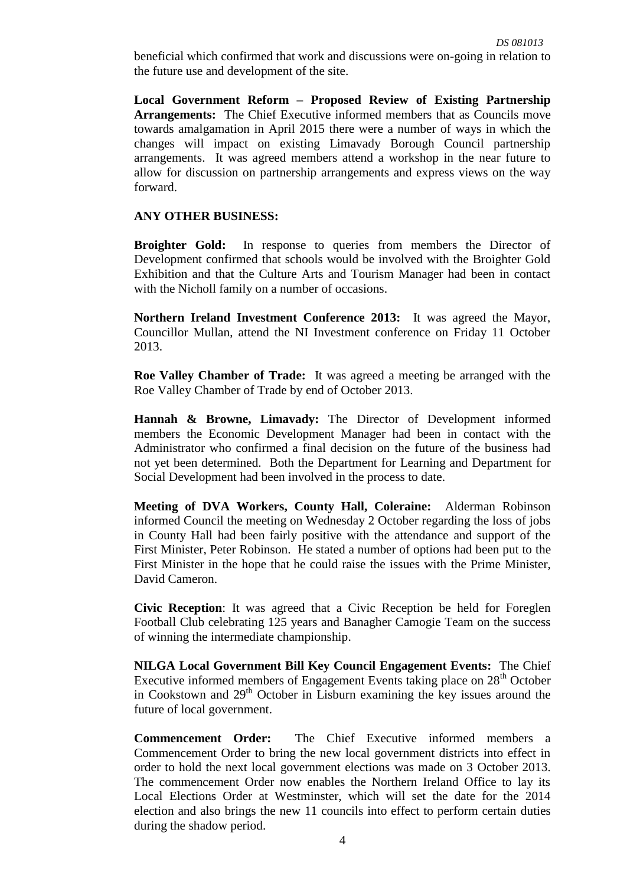beneficial which confirmed that work and discussions were on-going in relation to the future use and development of the site.

**Local Government Reform – Proposed Review of Existing Partnership Arrangements:** The Chief Executive informed members that as Councils move towards amalgamation in April 2015 there were a number of ways in which the changes will impact on existing Limavady Borough Council partnership arrangements. It was agreed members attend a workshop in the near future to allow for discussion on partnership arrangements and express views on the way forward.

### **ANY OTHER BUSINESS:**

**Broighter Gold:** In response to queries from members the Director of Development confirmed that schools would be involved with the Broighter Gold Exhibition and that the Culture Arts and Tourism Manager had been in contact with the Nicholl family on a number of occasions.

**Northern Ireland Investment Conference 2013:** It was agreed the Mayor, Councillor Mullan, attend the NI Investment conference on Friday 11 October 2013.

**Roe Valley Chamber of Trade:** It was agreed a meeting be arranged with the Roe Valley Chamber of Trade by end of October 2013.

**Hannah & Browne, Limavady:** The Director of Development informed members the Economic Development Manager had been in contact with the Administrator who confirmed a final decision on the future of the business had not yet been determined. Both the Department for Learning and Department for Social Development had been involved in the process to date.

**Meeting of DVA Workers, County Hall, Coleraine:** Alderman Robinson informed Council the meeting on Wednesday 2 October regarding the loss of jobs in County Hall had been fairly positive with the attendance and support of the First Minister, Peter Robinson. He stated a number of options had been put to the First Minister in the hope that he could raise the issues with the Prime Minister, David Cameron.

**Civic Reception**: It was agreed that a Civic Reception be held for Foreglen Football Club celebrating 125 years and Banagher Camogie Team on the success of winning the intermediate championship.

**NILGA Local Government Bill Key Council Engagement Events:** The Chief Executive informed members of Engagement Events taking place on 28<sup>th</sup> October in Cookstown and  $29<sup>th</sup>$  October in Lisburn examining the key issues around the future of local government.

**Commencement Order:** The Chief Executive informed members a Commencement Order to bring the new local government districts into effect in order to hold the next local government elections was made on 3 October 2013. The commencement Order now enables the Northern Ireland Office to lay its Local Elections Order at Westminster, which will set the date for the 2014 election and also brings the new 11 councils into effect to perform certain duties during the shadow period.